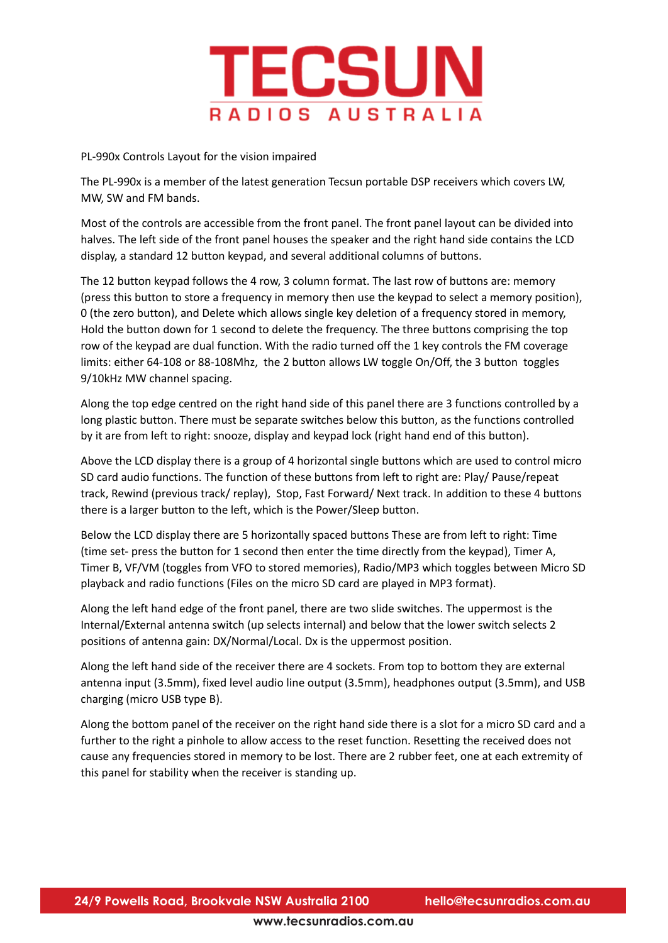

PL-990x Controls Layout for the vision impaired

The PL-990x is a member of the latest generation Tecsun portable DSP receivers which covers LW, MW, SW and FM bands.

Most of the controls are accessible from the front panel. The front panel layout can be divided into halves. The left side of the front panel houses the speaker and the right hand side contains the LCD display, a standard 12 button keypad, and several additional columns of buttons.

The 12 button keypad follows the 4 row, 3 column format. The last row of buttons are: memory (press this button to store a frequency in memory then use the keypad to select a memory position), 0 (the zero button), and Delete which allows single key deletion of a frequency stored in memory, Hold the button down for 1 second to delete the frequency. The three buttons comprising the top row of the keypad are dual function. With the radio turned off the 1 key controls the FM coverage limits: either 64-108 or 88-108Mhz, the 2 button allows LW toggle On/Off, the 3 button toggles 9/10kHz MW channel spacing.

Along the top edge centred on the right hand side of this panel there are 3 functions controlled by a long plastic button. There must be separate switches below this button, as the functions controlled by it are from left to right: snooze, display and keypad lock (right hand end of this button).

Above the LCD display there is a group of 4 horizontal single buttons which are used to control micro SD card audio functions. The function of these buttons from left to right are: Play/ Pause/repeat track, Rewind (previous track/ replay), Stop, Fast Forward/ Next track. In addition to these 4 buttons there is a larger button to the left, which is the Power/Sleep button.

Below the LCD display there are 5 horizontally spaced buttons These are from left to right: Time (time set- press the button for 1 second then enter the time directly from the keypad), Timer A, Timer B, VF/VM (toggles from VFO to stored memories), Radio/MP3 which toggles between Micro SD playback and radio functions (Files on the micro SD card are played in MP3 format).

Along the left hand edge of the front panel, there are two slide switches. The uppermost is the Internal/External antenna switch (up selects internal) and below that the lower switch selects 2 positions of antenna gain: DX/Normal/Local. Dx is the uppermost position.

Along the left hand side of the receiver there are 4 sockets. From top to bottom they are external antenna input (3.5mm), fixed level audio line output (3.5mm), headphones output (3.5mm), and USB charging (micro USB type B).

Along the bottom panel of the receiver on the right hand side there is a slot for a micro SD card and a further to the right a pinhole to allow access to the reset function. Resetting the received does not cause any frequencies stored in memory to be lost. There are 2 rubber feet, one at each extremity of this panel for stability when the receiver is standing up.